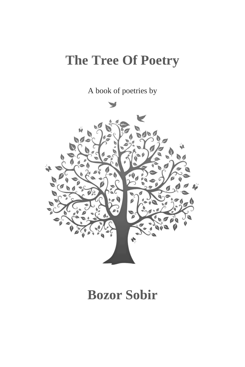# **The Tree Of Poetry**

A book of poetries by



# **Bozor Sobir**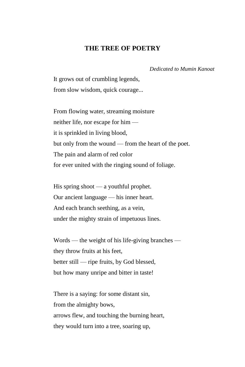### **THE TREE OF POETRY**

 *Dedicated to Mumin Kanoat*

It grows out of crumbling legends, from slow wisdom, quick courage...

From flowing water, streaming moisture neither life, nor escape for him it is sprinkled in living blood, but only from the wound — from the heart of the poet. The pain and alarm of red color for ever united with the ringing sound of foliage.

His spring shoot — a youthful prophet. Our ancient language — his inner heart. And each branch seething, as a vein, under the mighty strain of impetuous lines.

Words — the weight of his life-giving branches they throw fruits at his feet, better still — ripe fruits, by God blessed, but how many unripe and bitter in taste!

There is a saying: for some distant sin, from the almighty bows, arrows flew, and touching the burning heart, they would turn into a tree, soaring up,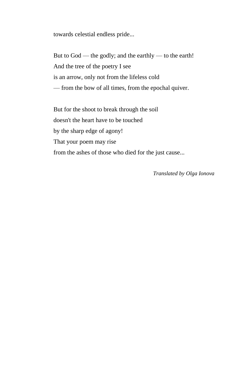towards celestial endless pride...

But to God — the godly; and the earthly — to the earth! And the tree of the poetry I see is an arrow, only not from the lifeless cold — from the bow of all times, from the epochal quiver.

But for the shoot to break through the soil doesn't the heart have to be touched by the sharp edge of agony! That your poem may rise from the ashes of those who died for the just cause...

*Translated by Olga Ionova*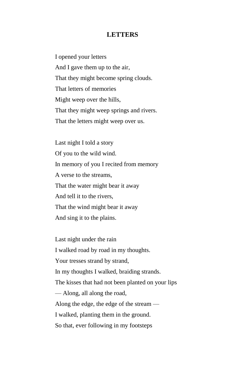## **LETTERS**

I opened your letters And I gave them up to the air, That they might become spring clouds. That letters of memories Might weep over the hills, That they might weep springs and rivers. That the letters might weep over us.

Last night I told a story Of you to the wild wind. In memory of you I recited from memory A verse to the streams, That the water might bear it away And tell it to the rivers, That the wind might bear it away And sing it to the plains.

Last night under the rain I walked road by road in my thoughts. Your tresses strand by strand, In my thoughts I walked, braiding strands. The kisses that had not been planted on your lips — Along, all along the road, Along the edge, the edge of the stream — I walked, planting them in the ground. So that, ever following in my footsteps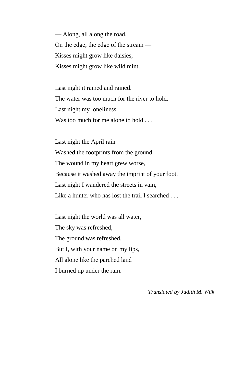— Along, all along the road, On the edge, the edge of the stream — Kisses might grow like daisies, Kisses might grow like wild mint.

Last night it rained and rained. The water was too much for the river to hold. Last night my loneliness Was too much for me alone to hold ...

Last night the April rain Washed the footprints from the ground. The wound in my heart grew worse, Because it washed away the imprint of your foot. Last night I wandered the streets in vain, Like a hunter who has lost the trail I searched . . .

Last night the world was all water, The sky was refreshed, The ground was refreshed. But I, with your name on my lips, All alone like the parched land I burned up under the rain.

*Translated by Judith M. Wilk*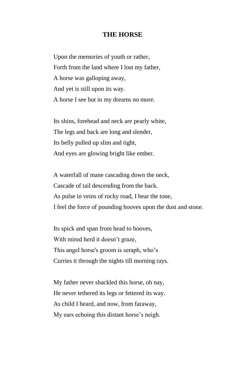## **THE HORSE**

Upon the memories of youth or rather, Forth from the land where I lost my father, A horse was galloping away, And yet is still upon its way. A horse I see but in my dreams no more.

Its shins, forehead and neck are pearly white, The legs and back are long and slender, Its belly pulled up slim and tight, And eyes are glowing bright like ember.

A waterfall of mane cascading down the neck, Cascade of tail descending from the back. As pulse in veins of rocky road, I hear the tone, I feel the force of pounding hooves upon the dust and stone.

Its spick and span from head to hooves, With mired herd it doesn't graze, This angel horse's groom is seraph, who's Curries it through the nights till morning rays.

My father never shackled this horse, oh nay, He never tethered its legs or fettered its way. As child I heard, and now, from faraway, My ears echoing this distant horse's neigh.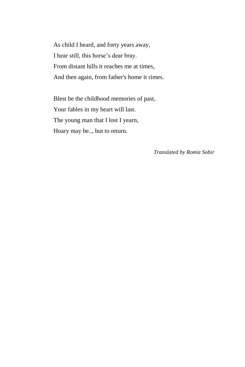As child I heard, and forty years away, I hear still, this horse's dear bray. From distant hills it reaches me at times, And then again, from father's home it rimes.

Blest be the childhood memories of past, Your fables in my heart will last. The young man that I lost I yearn, Hoary may be.., but to return.

*Translated by Romiz Sobir*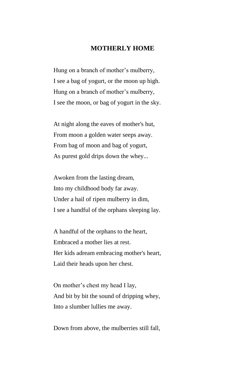### **MOTHERLY HOME**

Hung on a branch of mother's mulberry, I see a bag of yogurt, or the moon up high. Hung on a branch of mother's mulberry, I see the moon, or bag of yogurt in the sky.

At night along the eaves of mother's hut, From moon a golden water seeps away. From bag of moon and bag of yogurt, As purest gold drips down the whey...

Awoken from the lasting dream, Into my childhood body far away. Under a hail of ripen mulberry in dim, I see a handful of the orphans sleeping lay.

A handful of the orphans to the heart, Embraced a mother lies at rest. Her kids adream embracing mother's heart, Laid their heads upon her chest.

On mother's chest my head I lay, And bit by bit the sound of dripping whey, Into a slumber lullies me away.

Down from above, the mulberries still fall,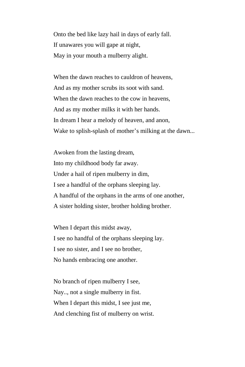Onto the bed like lazy hail in days of early fall. If unawares you will gape at night, May in your mouth a mulberry alight.

When the dawn reaches to cauldron of heavens, And as my mother scrubs its soot with sand. When the dawn reaches to the cow in heavens, And as my mother milks it with her hands. In dream I hear a melody of heaven, and anon, Wake to splish-splash of mother's milking at the dawn...

Awoken from the lasting dream, Into my childhood body far away. Under a hail of ripen mulberry in dim, I see a handful of the orphans sleeping lay. A handful of the orphans in the arms of one another, A sister holding sister, brother holding brother.

When I depart this midst away, I see no handful of the orphans sleeping lay. I see no sister, and I see no brother, No hands embracing one another.

No branch of ripen mulberry I see, Nay.., not a single mulberry in fist. When I depart this midst, I see just me, And clenching fist of mulberry on wrist.